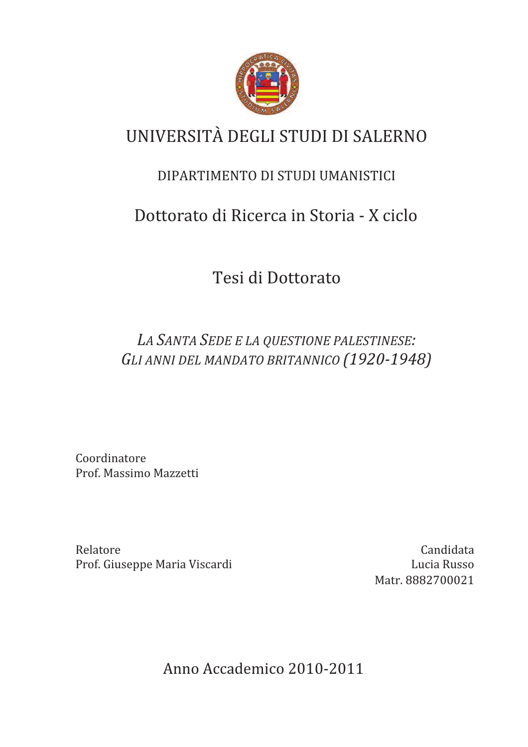

# UNIVERSITÀ DEGLI STUDI DI SALERNO

### DIPARTIMENTO DI STUDI UMANISTICI

## Dottorato di Ricerca in Storia - X ciclo

Tesi di Dottorato

LA SANTA SEDE E LA QUESTIONE PALESTINESE: GLI ANNI DEL MANDATO BRITANNICO (1920-1948)

Coordinatore Prof. Massimo Mazzetti

Relatore Prof. Giuseppe Maria Viscardi

Candidata Lucia Russo Matr. 8882700021

Anno Accademico 2010-2011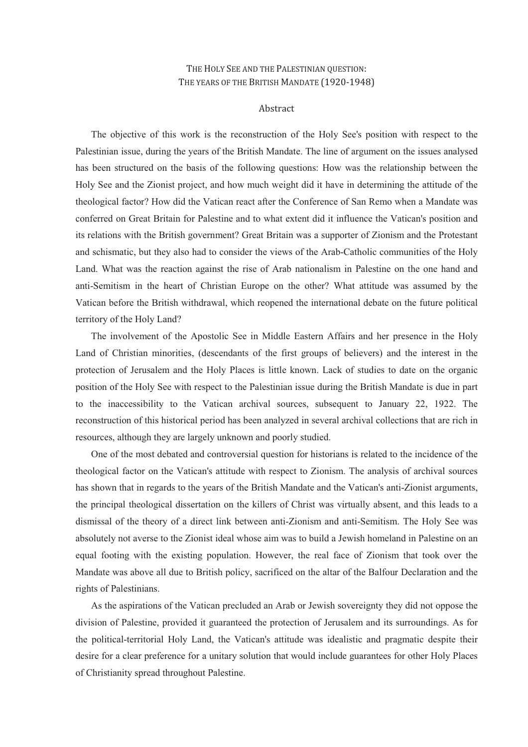#### THE HOLY SEE AND THE PALESTINIAN QUESTION: THE YEARS OF THE BRITISH MANDATE (1920-1948)

#### Abstract

The objective of this work is the reconstruction of the Holy See's position with respect to the Palestinian issue, during the years of the British Mandate. The line of argument on the issues analysed has been structured on the basis of the following questions: How was the relationship between the Holy See and the Zionist project, and how much weight did it have in determining the attitude of the theological factor? How did the Vatican react after the Conference of San Remo when a Mandate was conferred on Great Britain for Palestine and to what extent did it influence the Vatican's position and its relations with the British government? Great Britain was a supporter of Zionism and the Protestant and schismatic, but they also had to consider the views of the Arab-Catholic communities of the Holy Land. What was the reaction against the rise of Arab nationalism in Palestine on the one hand and anti-Semitism in the heart of Christian Europe on the other? What attitude was assumed by the Vatican before the British withdrawal, which reopened the international debate on the future political territory of the Holy Land?

The involvement of the Apostolic See in Middle Eastern Affairs and her presence in the Holy Land of Christian minorities, (descendants of the first groups of believers) and the interest in the protection of Jerusalem and the Holy Places is little known. Lack of studies to date on the organic position of the Holy See with respect to the Palestinian issue during the British Mandate is due in part to the inaccessibility to the Vatican archival sources, subsequent to January 22, 1922. The reconstruction of this historical period has been analyzed in several archival collections that are rich in resources, although they are largely unknown and poorly studied.

One of the most debated and controversial question for historians is related to the incidence of the theological factor on the Vatican's attitude with respect to Zionism. The analysis of archival sources has shown that in regards to the years of the British Mandate and the Vatican's anti-Zionist arguments, the principal theological dissertation on the killers of Christ was virtually absent, and this leads to a dismissal of the theory of a direct link between anti-Zionism and anti-Semitism. The Holy See was absolutely not averse to the Zionist ideal whose aim was to build a Jewish homeland in Palestine on an equal footing with the existing population. However, the real face of Zionism that took over the Mandate was above all due to British policy, sacrificed on the altar of the Balfour Declaration and the rights of Palestinians.

As the aspirations of the Vatican precluded an Arab or Jewish sovereignty they did not oppose the division of Palestine, provided it guaranteed the protection of Jerusalem and its surroundings. As for the political-territorial Holy Land, the Vatican's attitude was idealistic and pragmatic despite their desire for a clear preference for a unitary solution that would include guarantees for other Holy Places of Christianity spread throughout Palestine.